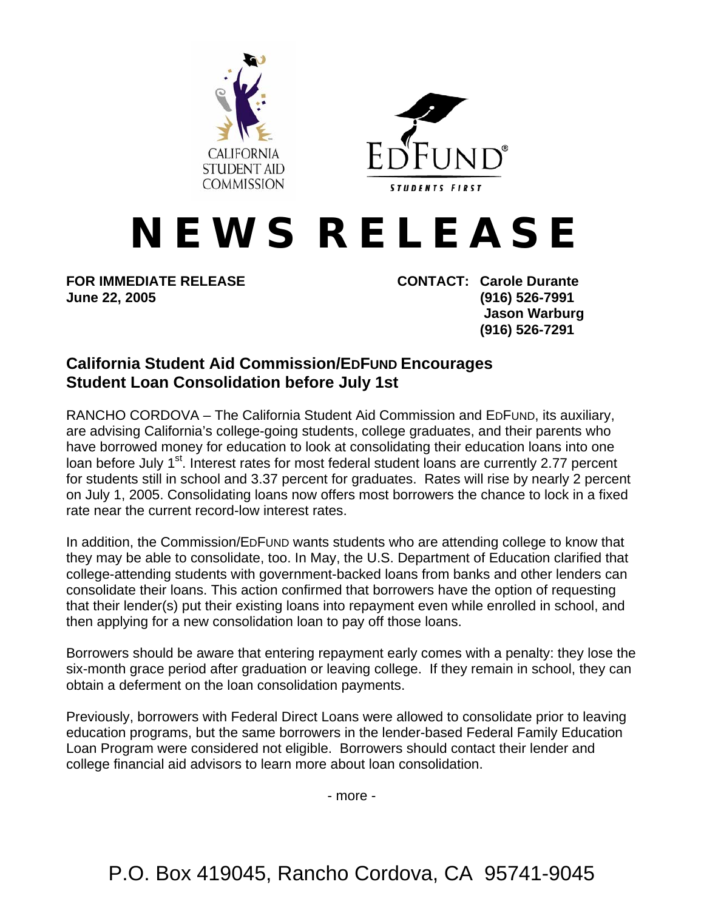



## **N E W S R E L E A S E**

**FOR IMMEDIATE RELEASE CONTACT: Carole Durante June 22, 2005 (916) 526-7991** 

 **Jason Warburg (916) 526-7291** 

## **California Student Aid Commission/EDFUND Encourages Student Loan Consolidation before July 1st**

RANCHO CORDOVA – The California Student Aid Commission and EDFUND, its auxiliary, are advising California's college-going students, college graduates, and their parents who have borrowed money for education to look at consolidating their education loans into one loan before July 1<sup>st</sup>. Interest rates for most federal student loans are currently 2.77 percent for students still in school and 3.37 percent for graduates. Rates will rise by nearly 2 percent on July 1, 2005. Consolidating loans now offers most borrowers the chance to lock in a fixed rate near the current record-low interest rates.

In addition, the Commission/EDFUND wants students who are attending college to know that they may be able to consolidate, too. In May, the U.S. Department of Education clarified that college-attending students with government-backed loans from banks and other lenders can consolidate their loans. This action confirmed that borrowers have the option of requesting that their lender(s) put their existing loans into repayment even while enrolled in school, and then applying for a new consolidation loan to pay off those loans.

Borrowers should be aware that entering repayment early comes with a penalty: they lose the six-month grace period after graduation or leaving college. If they remain in school, they can obtain a deferment on the loan consolidation payments.

Previously, borrowers with Federal Direct Loans were allowed to consolidate prior to leaving education programs, but the same borrowers in the lender-based Federal Family Education Loan Program were considered not eligible. Borrowers should contact their lender and college financial aid advisors to learn more about loan consolidation.

- more -

P.O. Box 419045, Rancho Cordova, CA 95741-9045